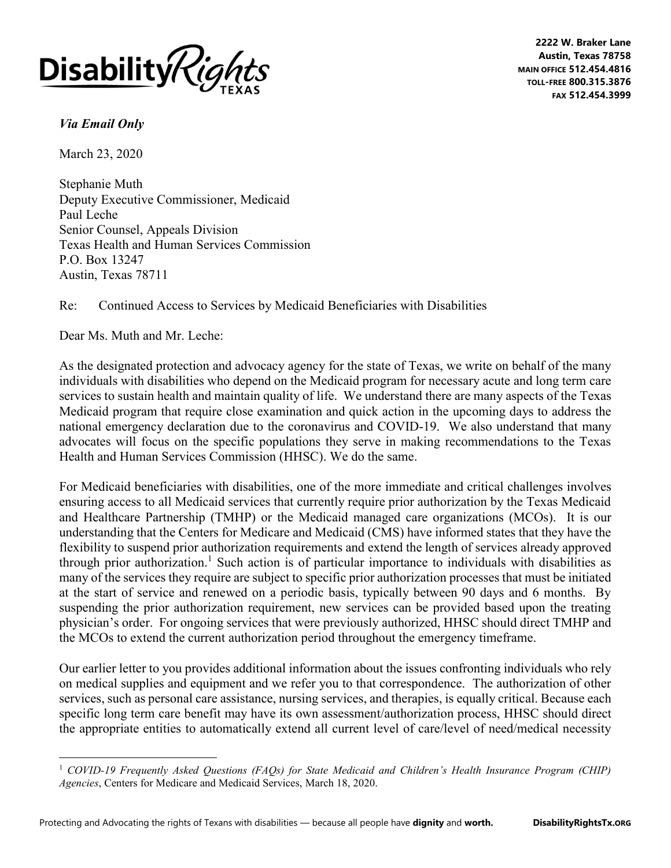

**2222 W. Braker Lane Austin, Texas 78758 MAIN OFFICE 512.454.4816 TOLL-FREE 800.315.3876 FAX 512.454.3999**

## *Via Email Only*

March 23, 2020

Stephanie Muth Deputy Executive Commissioner, Medicaid Paul Leche Senior Counsel, Appeals Division Texas Health and Human Services Commission P.O. Box 13247 Austin, Texas 78711

## Re: Continued Access to Services by Medicaid Beneficiaries with Disabilities

Dear Ms. Muth and Mr. Leche:

As the designated protection and advocacy agency for the state of Texas, we write on behalf of the many individuals with disabilities who depend on the Medicaid program for necessary acute and long term care services to sustain health and maintain quality of life. We understand there are many aspects of the Texas Medicaid program that require close examination and quick action in the upcoming days to address the national emergency declaration due to the coronavirus and COVID-19. We also understand that many advocates will focus on the specific populations they serve in making recommendations to the Texas Health and Human Services Commission (HHSC). We do the same.

For Medicaid beneficiaries with disabilities, one of the more immediate and critical challenges involves ensuring access to all Medicaid services that currently require prior authorization by the Texas Medicaid and Healthcare Partnership (TMHP) or the Medicaid managed care organizations (MCOs). It is our understanding that the Centers for Medicare and Medicaid (CMS) have informed states that they have the flexibility to suspend prior authorization requirements and extend the length of services already approved through prior authorization.<sup>1</sup> Such action is of particular importance to individuals with disabilities as many of the services they require are subject to specific prior authorization processes that must be initiated at the start of service and renewed on a periodic basis, typically between 90 days and 6 months. By suspending the prior authorization requirement, new services can be provided based upon the treating physician's order. For ongoing services that were previously authorized, HHSC should direct TMHP and the MCOs to extend the current authorization period throughout the emergency timeframe.

Our earlier letter to you provides additional information about the issues confronting individuals who rely on medical supplies and equipment and we refer you to that correspondence. The authorization of other services, such as personal care assistance, nursing services, and therapies, is equally critical. Because each specific long term care benefit may have its own assessment/authorization process, HHSC should direct the appropriate entities to automatically extend all current level of care/level of need/medical necessity

<sup>1</sup> *COVID-19 Frequently Asked Questions (FAQs) for State Medicaid and Children's Health Insurance Program (CHIP) Agencies*, Centers for Medicare and Medicaid Services, March 18, 2020.